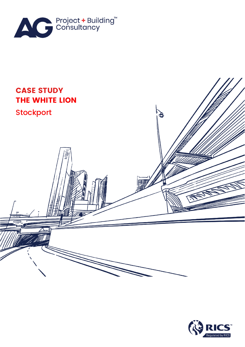



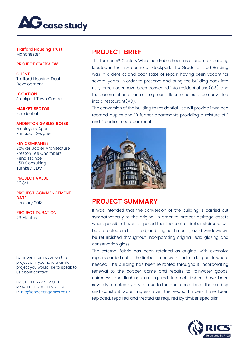

Trafford Housing Trust Manchester

## **PROJECT OVERVIEW**

**CLIENT** Trafford Housing Trust Development

LOCATION Stockport Town Centre

MARKET SECTOR Residential

ANDERTON GABLES ROLES Employers Agent Principal Designer

KEY COMPANIES Bowker Sadler Architecture Preston Lee Chambers Renaissance J&B Consulting Turnkey CDM

PROJECT VALUE £2.8M

PROJECT COMMENCEMENT DATE January 2018

PROJECT DURATION 23 Months

For more information on this project or if you have a similar project you would like to speak to us about contact:

PRESTON 01772 562 800 MANCHESTER 0161 696 3119 E: [info@andertongables.co.uk](mailto:info@andertongables.co.uk)

## **PROJECT BRIEF**

The former 15th Century White Lion Public house is a landmark building located in the city centre of Stockport. The Grade 2 listed Building was in a derelict and poor state of repair, having been vacant for several years. In order to preserve and bring the building back into use, three floors have been converted into residential use  $(c3)$  and the basement and part of the ground floor remains to be converted  $int_0$  a restaurant  $(A3)$ .

The conversion of the building to residential use will provide 1 two bed roomed duplex and 10 further apartments providing a mixture of 1 and 2 bedroomed apartments.



## **PROJECT SUMMARY**

It was intended that the conversion of the building is carried out sympathetically to the original in order to protect heritage assets where possible. It was proposed that the central timber staircase will be protected and restored, and original timber glazed windows will be refurbished throughout, incorporating original lead glazing and conservation glass.

The external fabric has been retained as original with extensive repairs carried out to the timber, stone work and render panels where needed. The building has been re roofed throughout, incorporating renewal to the copper dome and repairs to rainwater goods, chimneys and flashings as required. Internal timbers have been severely affected by dry rot due to the poor condition of the building and constant water ingress over the years. Timbers have been replaced, repaired and treated as required by timber specialist.